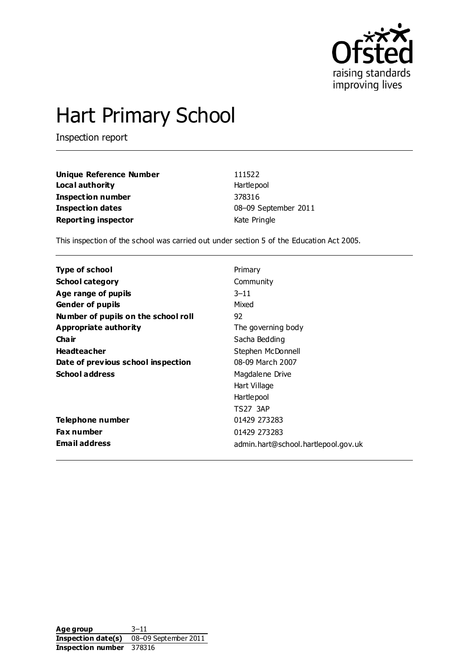

# Hart Primary School

Inspection report

| Unique Reference Number    | 111522               |
|----------------------------|----------------------|
| Local authority            | Hartlepool           |
| Inspection number          | 378316               |
| Inspection dates           | 08-09 September 2011 |
| <b>Reporting inspector</b> | Kate Pringle         |

This inspection of the school was carried out under section 5 of the Education Act 2005.

| Type of school                      | Primary                             |
|-------------------------------------|-------------------------------------|
| <b>School category</b>              | Community                           |
| Age range of pupils                 | $3 - 11$                            |
| <b>Gender of pupils</b>             | Mixed                               |
| Number of pupils on the school roll | 92                                  |
| Appropriate authority               | The governing body                  |
| Cha ir                              | Sacha Bedding                       |
| <b>Headteacher</b>                  | Stephen McDonnell                   |
| Date of previous school inspection  | 08-09 March 2007                    |
| <b>School address</b>               | Magdalene Drive                     |
|                                     | Hart Village                        |
|                                     | Hartlepool                          |
|                                     | <b>TS27 3AP</b>                     |
| Telephone number                    | 01429 273283                        |
| Fax number                          | 01429 273283                        |
| <b>Email address</b>                | admin.hart@school.hartlepool.gov.uk |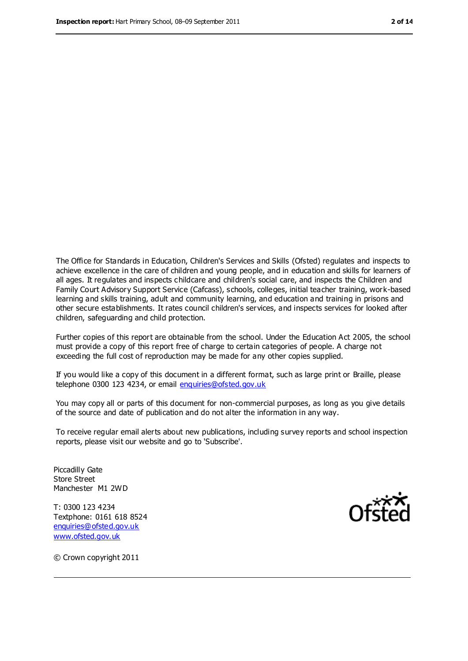The Office for Standards in Education, Children's Services and Skills (Ofsted) regulates and inspects to achieve excellence in the care of children and young people, and in education and skills for learners of all ages. It regulates and inspects childcare and children's social care, and inspects the Children and Family Court Advisory Support Service (Cafcass), schools, colleges, initial teacher training, work-based learning and skills training, adult and community learning, and education and training in prisons and other secure establishments. It rates council children's services, and inspects services for looked after children, safeguarding and child protection.

Further copies of this report are obtainable from the school. Under the Education Act 2005, the school must provide a copy of this report free of charge to certain categories of people. A charge not exceeding the full cost of reproduction may be made for any other copies supplied.

If you would like a copy of this document in a different format, such as large print or Braille, please telephone 0300 123 4234, or email [enquiries@ofsted.gov.uk](mailto:enquiries@ofsted.gov.uk)

You may copy all or parts of this document for non-commercial purposes, as long as you give details of the source and date of publication and do not alter the information in any way.

To receive regular email alerts about new publications, including survey reports and school inspection reports, please visit our website and go to 'Subscribe'.

Piccadilly Gate Store Street Manchester M1 2WD

T: 0300 123 4234 Textphone: 0161 618 8524 [enquiries@ofsted.gov.uk](mailto:enquiries@ofsted.gov.uk) [www.ofsted.gov.uk](http://www.ofsted.gov.uk/)



© Crown copyright 2011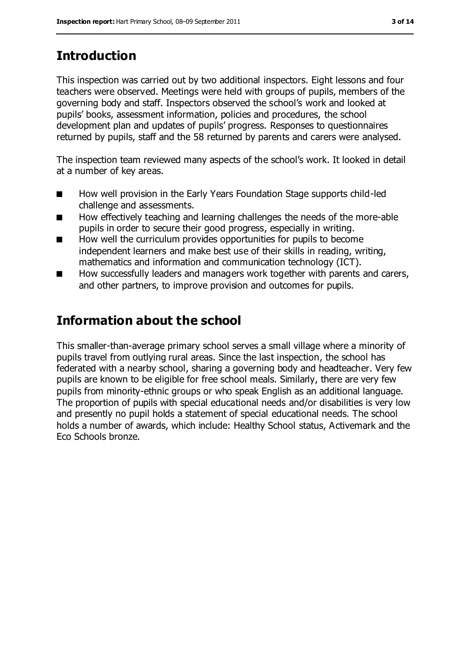# **Introduction**

This inspection was carried out by two additional inspectors. Eight lessons and four teachers were observed. Meetings were held with groups of pupils, members of the governing body and staff. Inspectors observed the school's work and looked at pupils' books, assessment information, policies and procedures, the school development plan and updates of pupils' progress. Responses to questionnaires returned by pupils, staff and the 58 returned by parents and carers were analysed.

The inspection team reviewed many aspects of the school's work. It looked in detail at a number of key areas.

- How well provision in the Early Years Foundation Stage supports child-led challenge and assessments.
- How effectively teaching and learning challenges the needs of the more-able pupils in order to secure their good progress, especially in writing.
- How well the curriculum provides opportunities for pupils to become independent learners and make best use of their skills in reading, writing, mathematics and information and communication technology (ICT).
- How successfully leaders and managers work together with parents and carers, and other partners, to improve provision and outcomes for pupils.

## **Information about the school**

This smaller-than-average primary school serves a small village where a minority of pupils travel from outlying rural areas. Since the last inspection, the school has federated with a nearby school, sharing a governing body and headteacher. Very few pupils are known to be eligible for free school meals. Similarly, there are very few pupils from minority-ethnic groups or who speak English as an additional language. The proportion of pupils with special educational needs and/or disabilities is very low and presently no pupil holds a statement of special educational needs. The school holds a number of awards, which include: Healthy School status, Activemark and the Eco Schools bronze.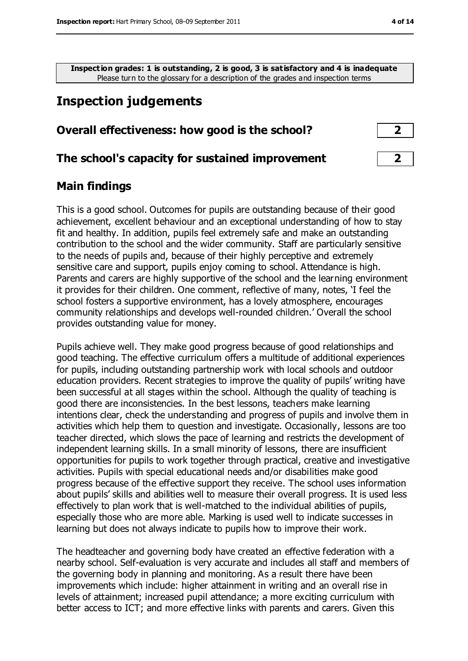**Inspection grades: 1 is outstanding, 2 is good, 3 is satisfactory and 4 is inadequate** Please turn to the glossary for a description of the grades and inspection terms

## **Inspection judgements**

#### **Overall effectiveness: how good is the school? 2**

#### **The school's capacity for sustained improvement 2**

#### **Main findings**

This is a good school. Outcomes for pupils are outstanding because of their good achievement, excellent behaviour and an exceptional understanding of how to stay fit and healthy. In addition, pupils feel extremely safe and make an outstanding contribution to the school and the wider community. Staff are particularly sensitive to the needs of pupils and, because of their highly perceptive and extremely sensitive care and support, pupils enjoy coming to school. Attendance is high. Parents and carers are highly supportive of the school and the learning environment it provides for their children. One comment, reflective of many, notes, 'I feel the school fosters a supportive environment, has a lovely atmosphere, encourages community relationships and develops well-rounded children.' Overall the school provides outstanding value for money.

Pupils achieve well. They make good progress because of good relationships and good teaching. The effective curriculum offers a multitude of additional experiences for pupils, including outstanding partnership work with local schools and outdoor education providers. Recent strategies to improve the quality of pupils' writing have been successful at all stages within the school. Although the quality of teaching is good there are inconsistencies. In the best lessons, teachers make learning intentions clear, check the understanding and progress of pupils and involve them in activities which help them to question and investigate. Occasionally, lessons are too teacher directed, which slows the pace of learning and restricts the development of independent learning skills. In a small minority of lessons, there are insufficient opportunities for pupils to work together through practical, creative and investigative activities. Pupils with special educational needs and/or disabilities make good progress because of the effective support they receive. The school uses information about pupils' skills and abilities well to measure their overall progress. It is used less effectively to plan work that is well-matched to the individual abilities of pupils, especially those who are more able. Marking is used well to indicate successes in learning but does not always indicate to pupils how to improve their work.

The headteacher and governing body have created an effective federation with a nearby school. Self-evaluation is very accurate and includes all staff and members of the governing body in planning and monitoring. As a result there have been improvements which include: higher attainment in writing and an overall rise in levels of attainment; increased pupil attendance; a more exciting curriculum with better access to ICT; and more effective links with parents and carers. Given this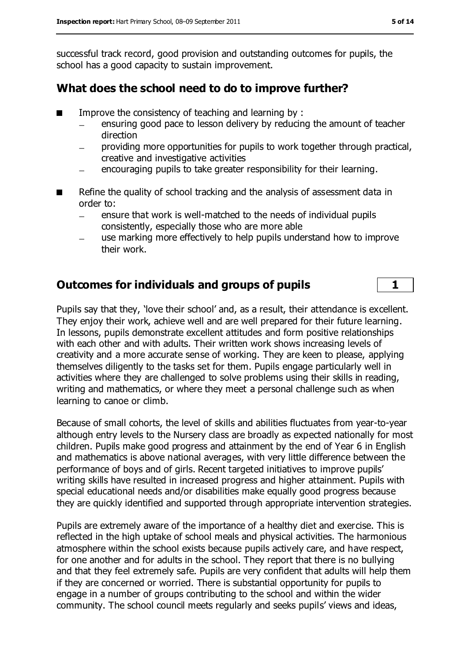successful track record, good provision and outstanding outcomes for pupils, the school has a good capacity to sustain improvement.

#### **What does the school need to do to improve further?**

- Improve the consistency of teaching and learning by :
	- ensuring good pace to lesson delivery by reducing the amount of teacher  $\equiv$ direction
	- providing more opportunities for pupils to work together through practical, creative and investigative activities
	- encouraging pupils to take greater responsibility for their learning.
- Refine the quality of school tracking and the analysis of assessment data in order to:
	- ensure that work is well-matched to the needs of individual pupils consistently, especially those who are more able
	- use marking more effectively to help pupils understand how to improve their work.

#### **Outcomes for individuals and groups of pupils 1**

Pupils say that they, 'love their school' and, as a result, their attendance is excellent. They enjoy their work, achieve well and are well prepared for their future learning. In lessons, pupils demonstrate excellent attitudes and form positive relationships with each other and with adults. Their written work shows increasing levels of creativity and a more accurate sense of working. They are keen to please, applying themselves diligently to the tasks set for them. Pupils engage particularly well in activities where they are challenged to solve problems using their skills in reading, writing and mathematics, or where they meet a personal challenge such as when learning to canoe or climb.

Because of small cohorts, the level of skills and abilities fluctuates from year-to-year although entry levels to the Nursery class are broadly as expected nationally for most children. Pupils make good progress and attainment by the end of Year 6 in English and mathematics is above national averages, with very little difference between the performance of boys and of girls. Recent targeted initiatives to improve pupils' writing skills have resulted in increased progress and higher attainment. Pupils with special educational needs and/or disabilities make equally good progress because they are quickly identified and supported through appropriate intervention strategies.

Pupils are extremely aware of the importance of a healthy diet and exercise. This is reflected in the high uptake of school meals and physical activities. The harmonious atmosphere within the school exists because pupils actively care, and have respect, for one another and for adults in the school. They report that there is no bullying and that they feel extremely safe. Pupils are very confident that adults will help them if they are concerned or worried. There is substantial opportunity for pupils to engage in a number of groups contributing to the school and within the wider community. The school council meets regularly and seeks pupils' views and ideas,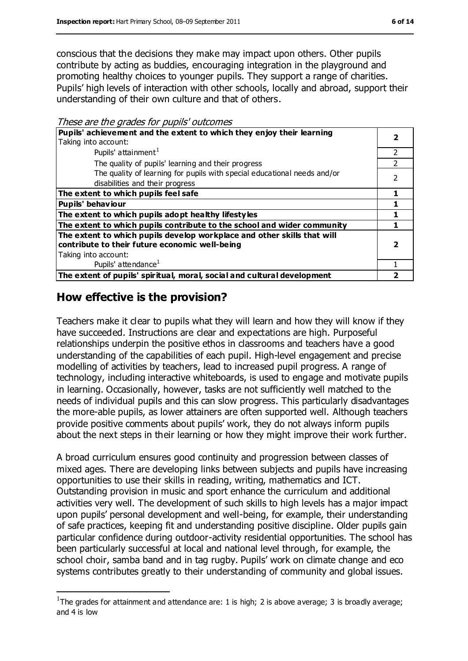conscious that the decisions they make may impact upon others. Other pupils contribute by acting as buddies, encouraging integration in the playground and promoting healthy choices to younger pupils. They support a range of charities. Pupils' high levels of interaction with other schools, locally and abroad, support their understanding of their own culture and that of others.

These are the grades for pupils' outcomes

| Pupils' achievement and the extent to which they enjoy their learning<br>Taking into account:                                                     |   |
|---------------------------------------------------------------------------------------------------------------------------------------------------|---|
| Pupils' attainment <sup>1</sup>                                                                                                                   |   |
| The quality of pupils' learning and their progress                                                                                                |   |
| The quality of learning for pupils with special educational needs and/or<br>disabilities and their progress                                       | っ |
| The extent to which pupils feel safe                                                                                                              |   |
| <b>Pupils' behaviour</b>                                                                                                                          |   |
| The extent to which pupils adopt healthy lifestyles                                                                                               |   |
| The extent to which pupils contribute to the school and wider community                                                                           |   |
| The extent to which pupils develop workplace and other skills that will<br>contribute to their future economic well-being<br>Taking into account: |   |
| Pupils' attendance <sup>1</sup>                                                                                                                   |   |
| The extent of pupils' spiritual, moral, social and cultural development                                                                           |   |

## **How effective is the provision?**

 $\overline{a}$ 

Teachers make it clear to pupils what they will learn and how they will know if they have succeeded. Instructions are clear and expectations are high. Purposeful relationships underpin the positive ethos in classrooms and teachers have a good understanding of the capabilities of each pupil. High-level engagement and precise modelling of activities by teachers, lead to increased pupil progress. A range of technology, including interactive whiteboards, is used to engage and motivate pupils in learning. Occasionally, however, tasks are not sufficiently well matched to the needs of individual pupils and this can slow progress. This particularly disadvantages the more-able pupils, as lower attainers are often supported well. Although teachers provide positive comments about pupils' work, they do not always inform pupils about the next steps in their learning or how they might improve their work further.

A broad curriculum ensures good continuity and progression between classes of mixed ages. There are developing links between subjects and pupils have increasing opportunities to use their skills in reading, writing, mathematics and ICT. Outstanding provision in music and sport enhance the curriculum and additional activities very well. The development of such skills to high levels has a major impact upon pupils' personal development and well-being, for example, their understanding of safe practices, keeping fit and understanding positive discipline. Older pupils gain particular confidence during outdoor-activity residential opportunities. The school has been particularly successful at local and national level through, for example, the school choir, samba band and in tag rugby. Pupils' work on climate change and eco systems contributes greatly to their understanding of community and global issues.

<sup>&</sup>lt;sup>1</sup>The grades for attainment and attendance are: 1 is high; 2 is above average; 3 is broadly average; and 4 is low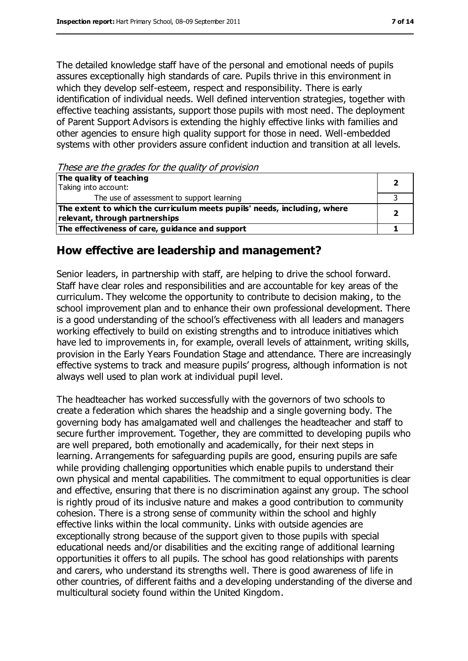The detailed knowledge staff have of the personal and emotional needs of pupils assures exceptionally high standards of care. Pupils thrive in this environment in which they develop self-esteem, respect and responsibility. There is early identification of individual needs. Well defined intervention strategies, together with effective teaching assistants, support those pupils with most need. The deployment of Parent Support Advisors is extending the highly effective links with families and other agencies to ensure high quality support for those in need. Well-embedded systems with other providers assure confident induction and transition at all levels.

These are the grades for the quality of provision

| The quality of teaching                                                  |  |
|--------------------------------------------------------------------------|--|
| Taking into account:                                                     |  |
| The use of assessment to support learning                                |  |
| The extent to which the curriculum meets pupils' needs, including, where |  |
| relevant, through partnerships                                           |  |
| The effectiveness of care, guidance and support                          |  |

#### **How effective are leadership and management?**

Senior leaders, in partnership with staff, are helping to drive the school forward. Staff have clear roles and responsibilities and are accountable for key areas of the curriculum. They welcome the opportunity to contribute to decision making, to the school improvement plan and to enhance their own professional development. There is a good understanding of the school's effectiveness with all leaders and managers working effectively to build on existing strengths and to introduce initiatives which have led to improvements in, for example, overall levels of attainment, writing skills, provision in the Early Years Foundation Stage and attendance. There are increasingly effective systems to track and measure pupils' progress, although information is not always well used to plan work at individual pupil level.

The headteacher has worked successfully with the governors of two schools to create a federation which shares the headship and a single governing body. The governing body has amalgamated well and challenges the headteacher and staff to secure further improvement. Together, they are committed to developing pupils who are well prepared, both emotionally and academically, for their next steps in learning. Arrangements for safeguarding pupils are good, ensuring pupils are safe while providing challenging opportunities which enable pupils to understand their own physical and mental capabilities. The commitment to equal opportunities is clear and effective, ensuring that there is no discrimination against any group. The school is rightly proud of its inclusive nature and makes a good contribution to community cohesion. There is a strong sense of community within the school and highly effective links within the local community. Links with outside agencies are exceptionally strong because of the support given to those pupils with special educational needs and/or disabilities and the exciting range of additional learning opportunities it offers to all pupils. The school has good relationships with parents and carers, who understand its strengths well. There is good awareness of life in other countries, of different faiths and a developing understanding of the diverse and multicultural society found within the United Kingdom.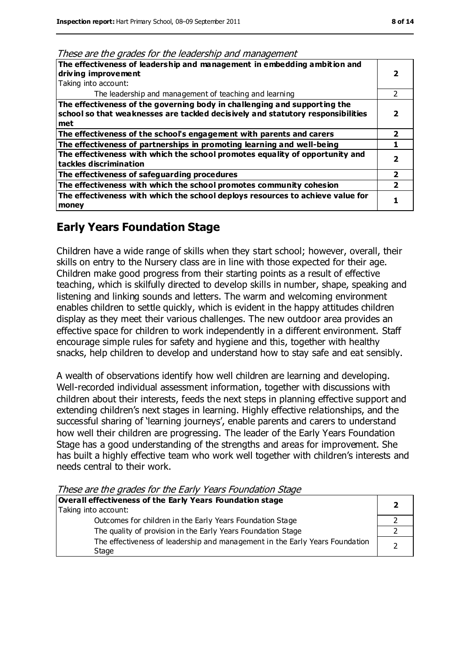| The effectiveness of leadership and management in embedding ambition and<br>driving improvement<br>Taking into account:                                             |                |
|---------------------------------------------------------------------------------------------------------------------------------------------------------------------|----------------|
| The leadership and management of teaching and learning                                                                                                              |                |
| The effectiveness of the governing body in challenging and supporting the<br>school so that weaknesses are tackled decisively and statutory responsibilities<br>met |                |
| The effectiveness of the school's engagement with parents and carers                                                                                                | 2              |
| The effectiveness of partnerships in promoting learning and well-being                                                                                              |                |
| The effectiveness with which the school promotes equality of opportunity and<br>tackles discrimination                                                              |                |
| The effectiveness of safeguarding procedures                                                                                                                        | $\overline{2}$ |
| The effectiveness with which the school promotes community cohesion                                                                                                 | 2              |
| The effectiveness with which the school deploys resources to achieve value for<br>money                                                                             |                |

#### **Early Years Foundation Stage**

Children have a wide range of skills when they start school; however, overall, their skills on entry to the Nursery class are in line with those expected for their age. Children make good progress from their starting points as a result of effective teaching, which is skilfully directed to develop skills in number, shape, speaking and listening and linking sounds and letters. The warm and welcoming environment enables children to settle quickly, which is evident in the happy attitudes children display as they meet their various challenges. The new outdoor area provides an effective space for children to work independently in a different environment. Staff encourage simple rules for safety and hygiene and this, together with healthy snacks, help children to develop and understand how to stay safe and eat sensibly.

A wealth of observations identify how well children are learning and developing. Well-recorded individual assessment information, together with discussions with children about their interests, feeds the next steps in planning effective support and extending children's next stages in learning. Highly effective relationships, and the successful sharing of 'learning journeys', enable parents and carers to understand how well their children are progressing. The leader of the Early Years Foundation Stage has a good understanding of the strengths and areas for improvement. She has built a highly effective team who work well together with children's interests and needs central to their work.

These are the grades for the Early Years Foundation Stage

| Overall effectiveness of the Early Years Foundation stage                             |  |  |
|---------------------------------------------------------------------------------------|--|--|
| Taking into account:                                                                  |  |  |
| Outcomes for children in the Early Years Foundation Stage                             |  |  |
| The quality of provision in the Early Years Foundation Stage                          |  |  |
| The effectiveness of leadership and management in the Early Years Foundation<br>Stage |  |  |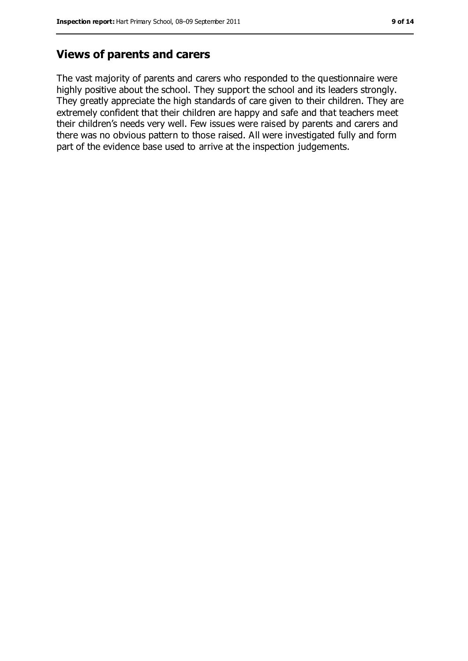## **Views of parents and carers**

The vast majority of parents and carers who responded to the questionnaire were highly positive about the school. They support the school and its leaders strongly. They greatly appreciate the high standards of care given to their children. They are extremely confident that their children are happy and safe and that teachers meet their children's needs very well. Few issues were raised by parents and carers and there was no obvious pattern to those raised. All were investigated fully and form part of the evidence base used to arrive at the inspection judgements.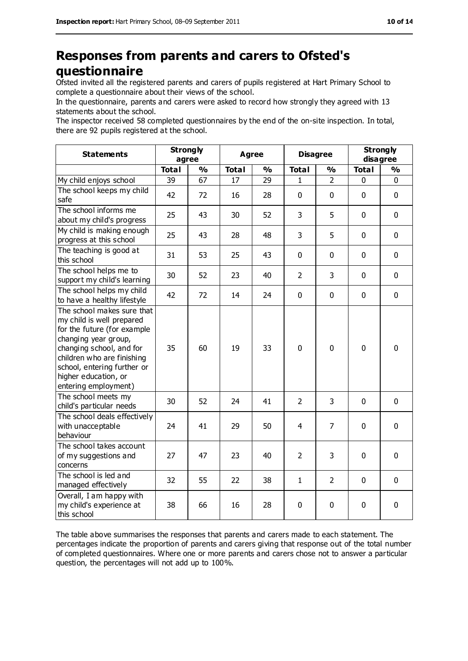## **Responses from parents and carers to Ofsted's questionnaire**

Ofsted invited all the registered parents and carers of pupils registered at Hart Primary School to complete a questionnaire about their views of the school.

In the questionnaire, parents and carers were asked to record how strongly they agreed with 13 statements about the school.

The inspector received 58 completed questionnaires by the end of the on-site inspection. In total, there are 92 pupils registered at the school.

| <b>Statements</b>                                                                                                                                                                                                                                       | <b>Strongly</b><br>agree |               | <b>Agree</b> |               | <b>Disagree</b> |                | <b>Strongly</b><br>disagree |               |
|---------------------------------------------------------------------------------------------------------------------------------------------------------------------------------------------------------------------------------------------------------|--------------------------|---------------|--------------|---------------|-----------------|----------------|-----------------------------|---------------|
|                                                                                                                                                                                                                                                         | <b>Total</b>             | $\frac{0}{0}$ | <b>Total</b> | $\frac{0}{0}$ | <b>Total</b>    | $\frac{1}{2}$  | <b>Total</b>                | $\frac{0}{0}$ |
| My child enjoys school                                                                                                                                                                                                                                  | 39                       | 67            | 17           | 29            | 1               | $\overline{2}$ | 0                           | 0             |
| The school keeps my child<br>safe                                                                                                                                                                                                                       | 42                       | 72            | 16           | 28            | 0               | $\mathbf 0$    | $\mathbf 0$                 | $\mathbf 0$   |
| The school informs me<br>about my child's progress                                                                                                                                                                                                      | 25                       | 43            | 30           | 52            | 3               | 5              | $\mathbf 0$                 | $\mathbf 0$   |
| My child is making enough<br>progress at this school                                                                                                                                                                                                    | 25                       | 43            | 28           | 48            | 3               | 5              | $\mathbf 0$                 | $\mathbf 0$   |
| The teaching is good at<br>this school                                                                                                                                                                                                                  | 31                       | 53            | 25           | 43            | 0               | $\mathbf 0$    | $\mathbf 0$                 | $\mathbf 0$   |
| The school helps me to<br>support my child's learning                                                                                                                                                                                                   | 30                       | 52            | 23           | 40            | $\overline{2}$  | $\overline{3}$ | $\mathbf 0$                 | $\mathbf 0$   |
| The school helps my child<br>to have a healthy lifestyle                                                                                                                                                                                                | 42                       | 72            | 14           | 24            | 0               | $\mathbf 0$    | $\mathbf 0$                 | $\mathbf 0$   |
| The school makes sure that<br>my child is well prepared<br>for the future (for example<br>changing year group,<br>changing school, and for<br>children who are finishing<br>school, entering further or<br>higher education, or<br>entering employment) | 35                       | 60            | 19           | 33            | $\mathbf 0$     | $\mathbf 0$    | $\mathbf 0$                 | $\mathbf 0$   |
| The school meets my<br>child's particular needs                                                                                                                                                                                                         | 30                       | 52            | 24           | 41            | $\overline{2}$  | 3              | $\mathbf 0$                 | $\mathbf 0$   |
| The school deals effectively<br>with unacceptable<br>behaviour                                                                                                                                                                                          | 24                       | 41            | 29           | 50            | 4               | $\overline{7}$ | $\mathbf 0$                 | $\mathbf 0$   |
| The school takes account<br>of my suggestions and<br>concerns                                                                                                                                                                                           | 27                       | 47            | 23           | 40            | $\overline{2}$  | 3              | $\mathbf 0$                 | 0             |
| The school is led and<br>managed effectively                                                                                                                                                                                                            | 32                       | 55            | 22           | 38            | $\mathbf{1}$    | $\overline{2}$ | $\mathbf 0$                 | $\mathbf 0$   |
| Overall, I am happy with<br>my child's experience at<br>this school                                                                                                                                                                                     | 38                       | 66            | 16           | 28            | 0               | $\mathbf 0$    | 0                           | 0             |

The table above summarises the responses that parents and carers made to each statement. The percentages indicate the proportion of parents and carers giving that response out of the total number of completed questionnaires. Where one or more parents and carers chose not to answer a particular question, the percentages will not add up to 100%.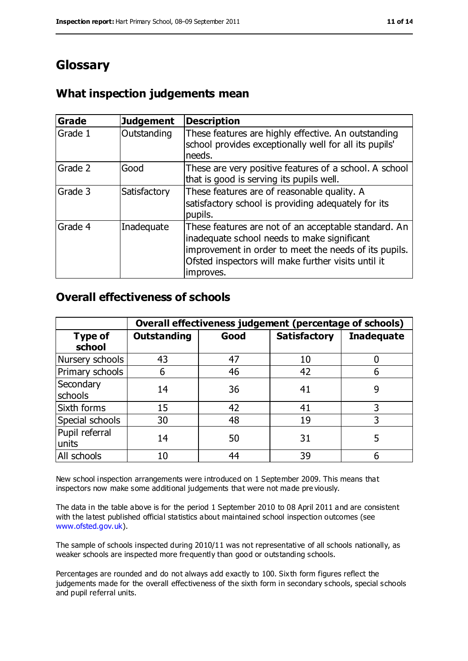## **Glossary**

## **What inspection judgements mean**

| Grade   | <b>Judgement</b> | <b>Description</b>                                                                                                                                                                                                               |
|---------|------------------|----------------------------------------------------------------------------------------------------------------------------------------------------------------------------------------------------------------------------------|
| Grade 1 | Outstanding      | These features are highly effective. An outstanding<br>school provides exceptionally well for all its pupils'<br>needs.                                                                                                          |
| Grade 2 | Good             | These are very positive features of a school. A school<br>that is good is serving its pupils well.                                                                                                                               |
| Grade 3 | Satisfactory     | These features are of reasonable quality. A<br>satisfactory school is providing adequately for its<br>pupils.                                                                                                                    |
| Grade 4 | Inadequate       | These features are not of an acceptable standard. An<br>inadequate school needs to make significant<br>improvement in order to meet the needs of its pupils.<br>Ofsted inspectors will make further visits until it<br>improves. |

#### **Overall effectiveness of schools**

|                          | Overall effectiveness judgement (percentage of schools) |      |                     |                   |
|--------------------------|---------------------------------------------------------|------|---------------------|-------------------|
| <b>Type of</b><br>school | <b>Outstanding</b>                                      | Good | <b>Satisfactory</b> | <b>Inadequate</b> |
| Nursery schools          | 43                                                      | 47   | 10                  |                   |
| Primary schools          | 6                                                       | 46   | 42                  |                   |
| Secondary<br>schools     | 14                                                      | 36   | 41                  | 9                 |
| Sixth forms              | 15                                                      | 42   | 41                  | 3                 |
| Special schools          | 30                                                      | 48   | 19                  | 3                 |
| Pupil referral<br>units  | 14                                                      | 50   | 31                  |                   |
| All schools              | 10                                                      | 44   | 39                  |                   |

New school inspection arrangements were introduced on 1 September 2009. This means that inspectors now make some additional judgements that were not made pre viously.

The data in the table above is for the period 1 September 2010 to 08 April 2011 and are consistent with the latest published official statistics about maintained school inspection outcomes (see [www.ofsted.gov.uk\)](http://www.ofsted.gov.uk/).

The sample of schools inspected during 2010/11 was not representative of all schools nationally, as weaker schools are inspected more frequently than good or outstanding schools.

Percentages are rounded and do not always add exactly to 100. Sixth form figures reflect the judgements made for the overall effectiveness of the sixth form in secondary schools, special schools and pupil referral units.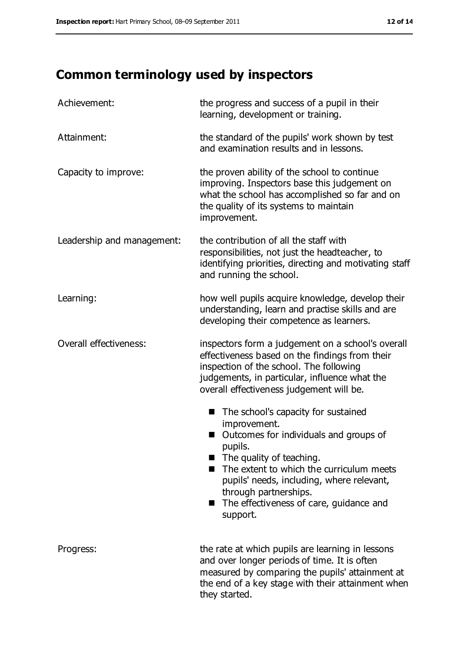# **Common terminology used by inspectors**

| Achievement:               | the progress and success of a pupil in their<br>learning, development or training.                                                                                                                                                                                                                                                              |  |  |
|----------------------------|-------------------------------------------------------------------------------------------------------------------------------------------------------------------------------------------------------------------------------------------------------------------------------------------------------------------------------------------------|--|--|
| Attainment:                | the standard of the pupils' work shown by test<br>and examination results and in lessons.                                                                                                                                                                                                                                                       |  |  |
| Capacity to improve:       | the proven ability of the school to continue<br>improving. Inspectors base this judgement on<br>what the school has accomplished so far and on<br>the quality of its systems to maintain<br>improvement.                                                                                                                                        |  |  |
| Leadership and management: | the contribution of all the staff with<br>responsibilities, not just the headteacher, to<br>identifying priorities, directing and motivating staff<br>and running the school.                                                                                                                                                                   |  |  |
| Learning:                  | how well pupils acquire knowledge, develop their<br>understanding, learn and practise skills and are<br>developing their competence as learners.                                                                                                                                                                                                |  |  |
| Overall effectiveness:     | inspectors form a judgement on a school's overall<br>effectiveness based on the findings from their<br>inspection of the school. The following<br>judgements, in particular, influence what the<br>overall effectiveness judgement will be.                                                                                                     |  |  |
|                            | The school's capacity for sustained<br>■<br>improvement.<br>Outcomes for individuals and groups of<br>П<br>pupils.<br>$\blacksquare$ The quality of teaching.<br>The extent to which the curriculum meets<br>pupils' needs, including, where relevant,<br>through partnerships.<br>The effectiveness of care, guidance and<br>a ser<br>support. |  |  |
| Progress:                  | the rate at which pupils are learning in lessons<br>and over longer periods of time. It is often<br>measured by comparing the pupils' attainment at<br>the end of a key stage with their attainment when<br>they started.                                                                                                                       |  |  |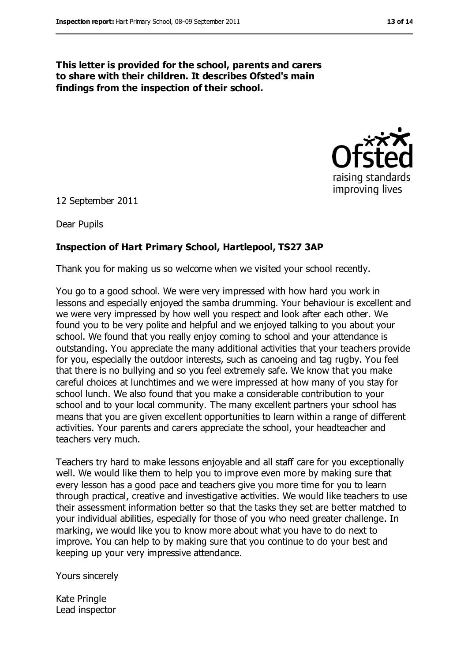**This letter is provided for the school, parents and carers to share with their children. It describes Ofsted's main findings from the inspection of their school.**



12 September 2011

Dear Pupils

#### **Inspection of Hart Primary School, Hartlepool, TS27 3AP**

Thank you for making us so welcome when we visited your school recently.

You go to a good school. We were very impressed with how hard you work in lessons and especially enjoyed the samba drumming. Your behaviour is excellent and we were very impressed by how well you respect and look after each other. We found you to be very polite and helpful and we enjoyed talking to you about your school. We found that you really enjoy coming to school and your attendance is outstanding. You appreciate the many additional activities that your teachers provide for you, especially the outdoor interests, such as canoeing and tag rugby. You feel that there is no bullying and so you feel extremely safe. We know that you make careful choices at lunchtimes and we were impressed at how many of you stay for school lunch. We also found that you make a considerable contribution to your school and to your local community. The many excellent partners your school has means that you are given excellent opportunities to learn within a range of different activities. Your parents and carers appreciate the school, your headteacher and teachers very much.

Teachers try hard to make lessons enjoyable and all staff care for you exceptionally well. We would like them to help you to improve even more by making sure that every lesson has a good pace and teachers give you more time for you to learn through practical, creative and investigative activities. We would like teachers to use their assessment information better so that the tasks they set are better matched to your individual abilities, especially for those of you who need greater challenge. In marking, we would like you to know more about what you have to do next to improve. You can help to by making sure that you continue to do your best and keeping up your very impressive attendance.

Yours sincerely

Kate Pringle Lead inspector